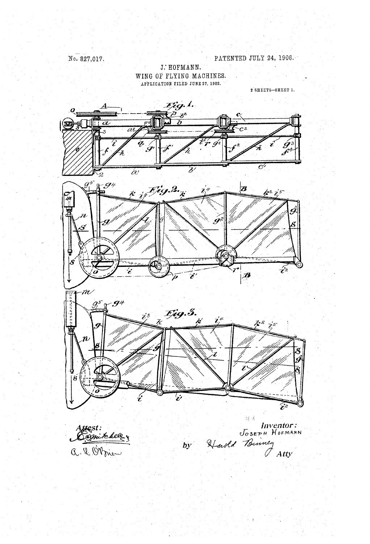No. 827,017.

J. HOFMANN. WING OF FLYING MACHINES. APPLICATION FILED JUNE 27, 1902.

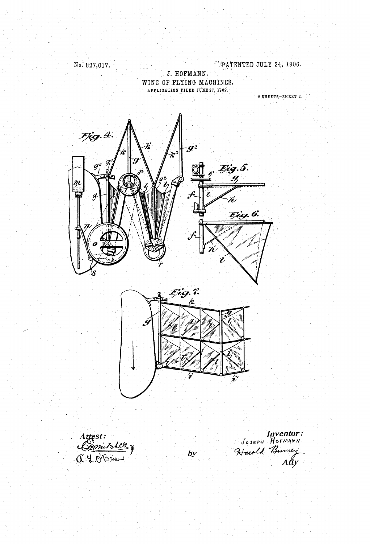No. 827,017.<br>**J. HOFMANN.**<br>**J. HOFMANN.** WING OF FLYING MACHINES.<br>APPLICATION FILED JUNE 27, 1902.

 $2$  SHEETS-SHEET 2.



Inventor: JOSEPH HOFMANN  $\mathcal{B}$  by Harold Burney Atty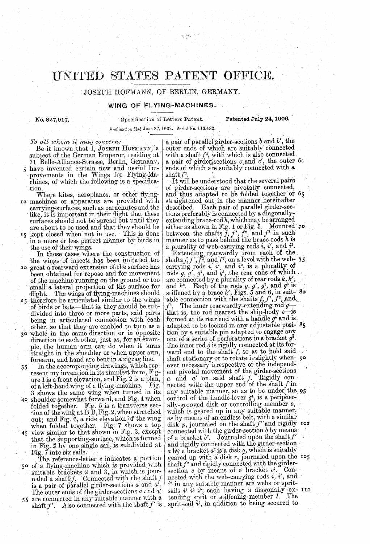## UNITED STATES PATENT OFFICE.

JOSEPH HOFMANN, OF BERLIN, GERMANY.

## WING OF FLYING-MACHINES.

Annifestion filed water 211 Tools, Series No. 110,1694.

No. 827,017.

specification of Letters Patent.

Patented July 24, 1908.

To all whom it may concern:

Be it known that I, JOSEPH HOFMANN, a subject of the German Emperor, residing at 71 Belle-Alliance-Strasse, Berlin, Germany, 5 have invented certain new and useful Improyements in the Wings for Flying-Ma-<br>chines, of which the following is a specifica-<br>tion.<br>Where kites, aeroplanes, or other flying-

10 machines or apparatus are provided with Where kites, aeroplanes, or other flying-machines or apparatus are provided with carrying-surfaces, such as parachutes and the like, it is important in their flight that these surfaces should not be spread out until they are about to be used and that they should be 15 kept closed when not in use. This is done in a more or less perfect manner by birds in the use of their wings.

In those cases where the construction of the wings of insects has been imitated too reat a rearward extension of the surface has  $20$ of the machine running on the ground or too small a lateral projection of the surface for flight. The wings of flying-machines should  $25$  therefore be articulated similar to the wings

of birds or bats—that is, they should be sub-<br>divided into three or more parts, said parts<br>being in articulated connection with each<br>other, so that they are enabled to turn as a whole in the same direction or in opposite direction to each other, just as, for an example, the human arm can do when it turns straight in the shoulder or when upper arm, forearm, and hand are bent in a zigzag line.  $3<sup>o</sup>$ 

35 In the accompanying drawings, which rep-<br>resent my invention in its simplest form, Fig-<br>ure 1 is a front elevation, and Fig. 2 is a plan, of a left-hand wing of a flying-machine. Fig.<br>3 shows the same wing when turned in its<br>40 shoulder somewhat forward, and Fig. 4 when folded together. Fig. 5 is a transverse section of the wing at BB, Fig. 2, when stretched out; and Fig. 6, a side elevation of the wing

out; and Fig. 6, a side elevation of the wing<br>when folded together. Fig. 7 shows a top<br>view similar to that shown in Fig. 2, except<br>that the supporting-surface, which is formed<br>in Fig. 2 by one single sail, is subdivided a

 $-5.$ 50 of a flying-machine which is provided with suitable brackets 2 and 3, in which is jour-<br>naled a shaft f. Connected with the shaft f<br>is a pair of parallel girder-sections  $a$  and  $a'$ . is a pair of parallel girder-sections a and a'.  $\begin{bmatrix} i^2 \text{ in any suitable manner are we  
the outer ends of the girder-sections a and a' and a' is also a diagonally-ex-  
are connected in any suitable manner with a  
shaff f'. Also connected with the shaft f' is a partial  $i^3$ , in addition to being secured to$ The outer ends of the girder-sections  $a$  and  $a$ -55

a pair of parallel girder-sections  $b$  and  $b'$ , the outer ends of which are suitably connected outer ends of which are suitably connected<br>with a shaft  $f^2$ , with which is also connected<br>a pair of girder-sections c and c', the outer oc ends of which are suitably connected with a shaft  $f^3$ .

It will be understood that the several pairs of girder-sections are pivotally connected, and thus adapted to be folded together or 65 straightened out in the manner hereinafter described. Each pair of parallel girder-sections preferably is connected by a diagonally-extending brace-rod $h$ , which may bearranged between the shafts  $f, f', f''$ , and  $f''$  in such manner as to pass behind the brace-rods  $h$  is either as shown in Fig. 1 or Fig. 5. Mounted 70.

a plurality of web-carrying rods  $i$ ,  $i$ , and  $i$ .<br>Extending rearwardly from each of the shafts  $f$ ,  $f'$ ,  $f'$ , and  $f'$ , on a level with the web-<br>carrying rods  $i$ ,  $i'$ , and  $i^2$ , is a plurality of rods  $g,\,g\hskip.4pt,\,g^\ast,\, {\rm and}\,\,g^\ast,$  .the rear end are connected by a plurality of rear rods  $k, k$ , and  $k^2$ . Each of the rods g, g',  $g^2$ , and  $g^3$  is  $\overline{3}$ of which . . stillened by a brace *h*, rigs. 5 and 6, in suit-<br>able connection with the shafts  $f, f', f^2$ , and<br> $f^3$ . The inner rearwardly-extending rod  $g$ —<br>that is, the rod nearest the ship-body  $e$ —is<br>formed at its rear end with a h ever necessary irrespective of the independent pivotal movement of the girder-sections a and a on said shall  $j$ . Rigidly con nected with the upper end of the share  $f$  in. control of the handle-lever  $g^4$ , is a peripher-<br>ally-grooved disk or controlling member  $o$ , and is adapted to be locked in any adjustable posi- 85 The inner rod  $\dot{g}$  is rigidly connected at its for-<br>ward end to the shaft  $f$ , so as to hold said<br>shaft stationary or to rotate it slightly when- 90 any suitable manner, so as to be under the 95 which is geared up in any suitable manner, as by means of an endless belt, with a similar disk  $p$ , journaled on the shaft  $f'$  and rigidly 100 connected with the girder-section  $b$  by means.  $\alpha^2$  a bracket  $b^2$ . Journaled upon the shaft  $f'$  and rigidly connected with the girder-section a by a bracket  $a^2$  is a disk q, which is suitably geared up with a disk r, journaled upon the  $s$  shaft  $f^2$  and rigidly connected with the girdersection c by means of a bracket  $c^2$ . Connected with the web-carrying rods  $i, i$  , and

 $\bullet$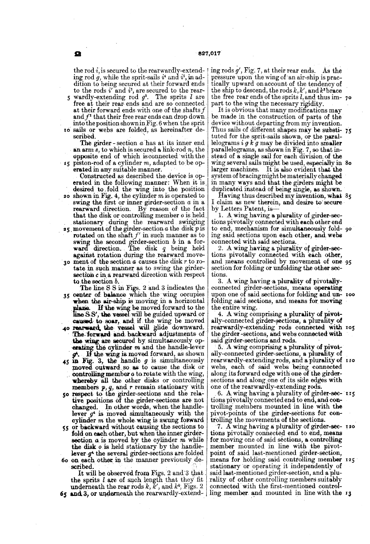the rod i, is secured to the rearwardly-extend-<br>ing rod g, while the sprit-sails it and  $i^5$ , in addition to being secured at their forward ends<br>to the rods  $i'$  and  $i^2$ , are secured to the rear-

and  $f^*$  that their free rear ends can drop down<br>into the position shown in Fig. 6 when the sprit<br>to sails or webs are folded, as hereinafter deto the rods  $i'$  and  $i^2$ , are secured to the rear-<br>wardly-extending rod  $g^2$ . The sprits l are free at their rear ends and are so connected at their forward ends with one of the shafts  $f$ <br>and  $f^2$  that their free rear ends can drop down scribed.

The girder-section a has at its inner end an arm  $\overline{s}$ , to which is secured a link-rod  $\overline{n}$ , the opposite end of which is connected with the ( $\frac{1}{5}$  piston-rod of a cylinder m, adapted to be op-<br>erated in any suitable manner.<br>Constructed as described the device is op-

- **20** shown in Fig. 4, the cylinder  $m$  is operated to swing the first or inner girder-section  $a$  in a erated in the following manner: When it is. desired to fold the wing into the position shown in Fig. 4, the cylinder m is operated to swing the first or inner girder-section  $a$  in a rearward direction. By reason of the f that the disk or controlling member  $o$  is held stationary during the rearward, swinging
- 25 movement of the girder-section a the disk p is rotated on the shaft  $f'$  in such manner as to swing the second girder-section b in a forward direction. The disk  $q$  being held against rotation during the rearward move-
- 30 ment of the section  $a$  causes the disk  $r$  to rotate in such manner as to swing the girdersection c in a rearward direction with respect<br>to the section  $b$ .<br>The line SS in Figs. 2 and 3 indicates the

35 center of balance which the wing occupies when the air-ship is moving in a horizontal<br>plane. If the wing be moved forward to the If the wing be moved forward to the plane. It the wang be moved upward or<br>line S.S', the vessel will be guided upward or<br>caused to soar, and if the wing be moved

- 40 rearward the vessel will glide downward. The forward and backward adjustments of the wing are secured by simultaneously operating the cylinder  $m$  and the handle-lever  $g^2$ . If the wing is moved forward, as shown 45 in Fig. 3, the handle  $g$  is simultaneously moved outward so as to cause the disk or controlling, whereby all the other disks or controlling controlling member *o* to rotate with the wing,<br>whereby all the other disks or controlling
- So members  $p$ ,  $q$ , and  $r$  remain stationary with respect to the girder-sections and the relative positions of the girder-sections are not
- 55 or backward without causing the sections to<br>fold on each other, but when the inner girderchanged. In other words, when the handle-lever  $g^4$  is moved simultaneously with the cylinder m the whole wing is swung forward
- section  $\alpha$  is moved by the cylinder m while<br>the disk  $\alpha$  is held stationary by the handle-<br>lever  $q^*$  the several girder-sections are folded on each other in the manner previously de

underneath the rear rods  $k$ ,  $k$ , and  $k$ <sup>-</sup>, rigs. 2 **65** and 3, or underneath the rearwardly-extend-It will be observed from Figs. 2 and 3 that. said last-mentioned girder-section, and a plu-<br>the sprits l are of such length that they fit. rality of other controlling members suitably<br>underneath the rear rods k, k', and k

ing rods g', Fig. 7, at their rear ends. As the tically upward on account of the tendency of the smp to descend, the rods  $k, k'$ , and  $k'$  brace<br>the free rear ends of the sprits  $l$ , and thus im-

part to the wing the necessary rigidity.<br>It is obvious that many modifications may<br>be made in the construction of parts of the<br>device without departing from my invention. tuted for the sprit-sails shown, or the paral-<br>lelograms  $i g k g$  may be divided into smaller parallelograms, as shown in Fig. 7, so that in wing several sails might be used, especially in 80 larger machines. It is also evident that the system of bracing might be materially changed<br>in many ways and that the girders might be<br>duplicated instead of being single, as shown.<br>Having thus described my invention, what 85 Thus sails of different shapes may be substi- 75

I claim as new therein, and desire to secure

1. A wing having a plurality of girder-sections pivotally connected with each other end to end, mechanism for simultaneously fold ing said sections upon each other, and webs

connected with said sections.<br>
2. A wing having a plurality of girder-sec-<br>
tions pivotally connected with each other,<br>
and means controlled by movement of one<br>
section for folding or unfolding the other sections. 95

3. A wing having a plurality of pivotally connected girder-sections, means operating upon one of said sections for folding and un-  $\frac{1}{2}$  too.

folding said sections, and means for moving<br>the entire wing.<br>4. A wing comprising a plurality of pivot-<br>ally-connected girder-sections, a plurality of<br>rearwardly-extending rods connected with 105 the girder-sections, and webs connected with<br>said girder-sections and rods.<br>5. A wing comprising a plurality of pivot-

5. A wing comprising a plurality of pivot-<br>ally-connected girder-sections, a plurality of rearwardly-extending rods, and a plurality of rio webs, each of said webs being connected along its forward edge with one of the girder-sections and along one of its side edges with one of the rearwardly-extending rods.

trolling members mounted in line with the<br>pivot-points of the girder-sections for con-<br>trolling the movements of the sections. 6. A wing having a plurality of girder-sec- 115

tions pivotally connected end to end, means<br>for moving one of said sections, a controlling<br>member mounted in line with the pivot-<br>point of said last-mentioned girder-section, stationary or operating it independently of rality of other controlling members suitably connected with the first-mentioned control ling member and mounted in line with the 13 7. A wing having a plurality of girder-sec-  $120$ means for holding said controlling member 125